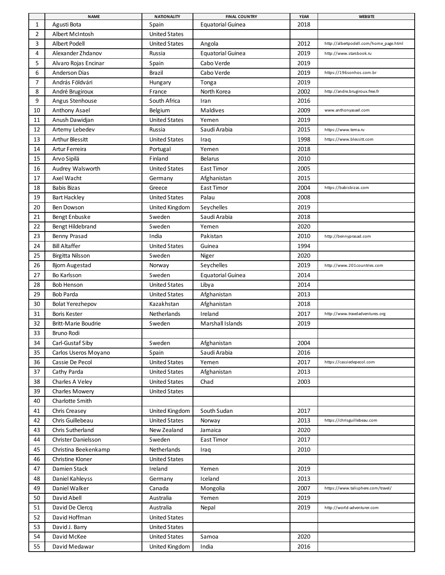|                | <b>NAME</b>                | <b>NATIONALITY</b>   | <b>FINAL COUNTRY</b>     | <b>YEAR</b> | <b>WEBSITE</b>                         |
|----------------|----------------------------|----------------------|--------------------------|-------------|----------------------------------------|
| $\mathbf{1}$   | Agusti Bota                | Spain                | <b>Equatorial Guinea</b> | 2018        |                                        |
| $\overline{2}$ | Albert McIntosh            | <b>United States</b> |                          |             |                                        |
| 3              | <b>Albert Podell</b>       | <b>United States</b> | Angola                   | 2012        | http://albertpodell.com/home_page.html |
| 4              | Alexander Zhdanov          | Russia               | <b>Equatorial Guinea</b> | 2019        | http://www.starsbook.ru                |
| 5              | Alvaro Rojas Encinar       | Spain                | Cabo Verde               | 2019        |                                        |
| 6              | <b>Anderson Dias</b>       | Brazil               | Cabo Verde               | 2019        | https://196sonhos.com.br               |
| 7              | András Földvári            | Hungary              | Tonga                    | 2019        |                                        |
| 8              | André Brugiroux            | France               | North Korea              | 2002        | http://andre.brugiroux.free.fr         |
| 9              | Angus Stenhouse            | South Africa         | Iran                     | 2016        |                                        |
| 10             | Anthony Asael              | Belgium              | Maldives                 | 2009        | www.anthonyasael.com                   |
| 11             | Anush Dawidjan             | <b>United States</b> | Yemen                    | 2019        |                                        |
| 12             | Artemy Lebedev             | Russia               | Saudi Arabia             | 2015        | https://www.tema.ru                    |
| 13             | <b>Arthur Blessitt</b>     | <b>United States</b> | Iraq                     | 1998        | https://www.blessitt.com               |
| 14             | Artur Ferreira             | Portugal             | Yemen                    | 2018        |                                        |
| 15             | Arvo Sipilä                | Finland              | Belarus                  | 2010        |                                        |
| 16             | Audrey Walsworth           | <b>United States</b> | <b>East Timor</b>        | 2005        |                                        |
| 17             | Axel Wacht                 | Germany              | Afghanistan              | 2015        |                                        |
| 18             | <b>Babis Bizas</b>         | Greece               | East Timor               | 2004        | https://babisbizas.com                 |
| 19             | <b>Bart Hackley</b>        | <b>United States</b> | Palau                    | 2008        |                                        |
| 20             | Ben Dowson                 | United Kingdom       | Seychelles               | 2019        |                                        |
| 21             | Bengt Enbuske              | Sweden               | Saudi Arabia             | 2018        |                                        |
| 22             | Bengt Hildebrand           | Sweden               | Yemen                    | 2020        |                                        |
| 23             | Benny Prasad               | India                | Pakistan                 | 2010        | http://bennyprasad.com                 |
| 24             | <b>Bill Altaffer</b>       | <b>United States</b> | Guinea                   | 1994        |                                        |
| 25             | Birgitta Nilsson           | Sweden               | Niger                    | 2020        |                                        |
| 26             | Bjorn Augestad             | Norway               | Seychelles               | 2019        | http://www.201countries.com            |
| 27             | Bo Karlsson                | Sweden               | <b>Equatorial Guinea</b> | 2014        |                                        |
| 28             | <b>Bob Henson</b>          | <b>United States</b> |                          | 2014        |                                        |
| 29             | <b>Bob Parda</b>           | <b>United States</b> | Libya<br>Afghanistan     | 2013        |                                        |
|                |                            |                      |                          |             |                                        |
| 30             | <b>Bolat Yerezhepov</b>    | Kazakhstan           | Afghanistan              | 2018        |                                        |
| 31             | Boris Kester               | <b>Netherlands</b>   | Ireland                  | 2017        | http://www.traveladventures.org        |
| 32             | <b>Britt-Marie Boudrie</b> | Sweden               | Marshall Islands         | 2019        |                                        |
| 33             | Bruno Rodi                 |                      |                          |             |                                        |
| 34             | Carl-Gustaf Siby           | Sweden               | Afghanistan              | 2004        |                                        |
| 35             | Carlos Useros Moyano       | Spain                | Saudi Arabia             | 2016        |                                        |
| 36             | Cassie De Pecol            | <b>United States</b> | Yemen                    | 2017        | https://cassiedepecol.com              |
| 37             | Cathy Parda                | <b>United States</b> | Afghanistan              | 2013        |                                        |
| 38             | Charles A Veley            | <b>United States</b> | Chad                     | 2003        |                                        |
| 39             | Charles Mowery             | <b>United States</b> |                          |             |                                        |
| 40             | Charlotte Smith            |                      |                          |             |                                        |
| 41             | Chris Creasey              | United Kingdom       | South Sudan              | 2017        |                                        |
| 42             | Chris Guillebeau           | <b>United States</b> | Norway                   | 2013        | https://chrisguillebeau.com            |
| 43             | Chris Sutherland           | New Zealand          | Jamaica                  | 2020        |                                        |
| 44             | <b>Christer Danielsson</b> | Sweden               | East Timor               | 2017        |                                        |
| 45             | Christina Beekenkamp       | Netherlands          | Iraq                     | 2010        |                                        |
| 46             | Christine Kloner           | <b>United States</b> |                          |             |                                        |
| 47             | Damien Stack               | Ireland              | Yemen                    | 2019        |                                        |
| 48             | Daniel Kahleyss            | Germany              | Iceland                  | 2013        |                                        |
| 49             | Daniel Walker              | Canada               | Mongolia                 | 2007        | https://www.talisphere.com/travel/     |
| 50             | David Abell                | Australia            | Yemen                    | 2019        |                                        |
| 51             | David De Clercq            | Australia            | Nepal                    | 2019        | http://world-adventurer.com            |
| 52             | David Hoffman              | <b>United States</b> |                          |             |                                        |
| 53             | David J. Barry             | <b>United States</b> |                          |             |                                        |
| 54             | David McKee                | <b>United States</b> | Samoa                    | 2020        |                                        |
| 55             | David Medawar              | United Kingdom       | India                    | 2016        |                                        |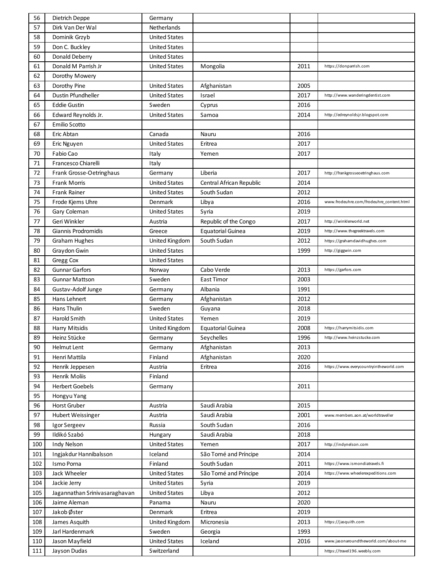| 56  | Dietrich Deppe                | Germany              |                          |      |                                          |
|-----|-------------------------------|----------------------|--------------------------|------|------------------------------------------|
| 57  | Dirk Van Der Wal              | Netherlands          |                          |      |                                          |
| 58  | Dominik Grzyb                 | <b>United States</b> |                          |      |                                          |
| 59  | Don C. Buckley                | <b>United States</b> |                          |      |                                          |
| 60  | Donald Deberry                | <b>United States</b> |                          |      |                                          |
| 61  | Donald M Parrish Jr           | <b>United States</b> | Mongolia                 | 2011 | https://donparrish.com                   |
| 62  | Dorothy Mowery                |                      |                          |      |                                          |
| 63  | Dorothy Pine                  | <b>United States</b> | Afghanistan              | 2005 |                                          |
| 64  | <b>Dustin Pfundheller</b>     | <b>United States</b> | Israel                   | 2017 | http://www.wanderingdentist.com          |
| 65  | <b>Eddie Gustin</b>           | Sweden               | Cyprus                   | 2016 |                                          |
| 66  | Edward Reynolds Jr.           | <b>United States</b> | Samoa                    | 2014 | http://edreynoldsjr.blogspot.com         |
| 67  | <b>Emilio Scotto</b>          |                      |                          |      |                                          |
| 68  | Eric Abtan                    | Canada               | Nauru                    | 2016 |                                          |
| 69  | Eric Nguyen                   | <b>United States</b> | Eritrea                  | 2017 |                                          |
| 70  | Fabio Cao                     | Italy                | Yemen                    | 2017 |                                          |
| 71  | Francesco Chiarelli           | Italy                |                          |      |                                          |
| 72  | Frank Grosse-Oetringhaus      | Germany              | Liberia                  | 2017 | http://frankgrosseoetringhaus.com        |
| 73  | Frank Morris                  | <b>United States</b> | Central African Republic | 2014 |                                          |
| 74  | Frank Rainer                  | <b>United States</b> | South Sudan              | 2012 |                                          |
| 75  | Frode Kjems Uhre              | Denmark              | Libya                    | 2016 | www.frodeuhre.com/frodeuhre_content.html |
| 76  | Gary Coleman                  | <b>United States</b> | Syria                    | 2019 |                                          |
| 77  | Geri Winkler                  | Austria              | Republic of the Congo    | 2017 | http://winklerworld.net                  |
| 78  | Giannis Prodromidis           | Greece               | <b>Equatorial Guinea</b> | 2019 | http://www.thegreektravels.com           |
| 79  | <b>Graham Hughes</b>          | United Kingdom       | South Sudan              | 2012 | https://grahamdavidhughes.com            |
| 80  | Graydon Gwin                  | <b>United States</b> |                          | 1999 | http://giggwin.com                       |
| 81  | Gregg Cox                     | <b>United States</b> |                          |      |                                          |
| 82  | <b>Gunnar Garfors</b>         | Norway               | Cabo Verde               | 2013 | https://garfors.com                      |
| 83  | <b>Gunnar Mattson</b>         | Sweden               | East Timor               | 2003 |                                          |
| 84  | Gustav-Adolf Junge            | Germany              | Albania                  | 1991 |                                          |
| 85  | Hans Lehnert                  | Germany              | Afghanistan              | 2012 |                                          |
| 86  | Hans Thulin                   | Sweden               | Guyana                   | 2018 |                                          |
| 87  | Harold Smith                  | <b>United States</b> | Yemen                    | 2019 |                                          |
| 88  | Harry Mitsidis                | United Kingdom       | Equatorial Guinea        | 2008 | https://harrymitsidis.com                |
| 89  | Heinz Stücke                  | Germany              | Seychelles               | 1996 | http://www.heinzstucke.com               |
| 90  | Helmut Lent                   | Germany              | Afghanistan              | 2013 |                                          |
| 91  | Henri Mattila                 | Finland              | Afghanistan              | 2020 |                                          |
| 92  | Henrik Jeppesen               | Austria              | Eritrea                  | 2016 | https://www.everycountryintheworld.com   |
| 93  | Henrik Moliis                 | Finland              |                          |      |                                          |
| 94  | <b>Herbert Goebels</b>        | Germany              |                          | 2011 |                                          |
| 95  | Hongyu Yang                   |                      |                          |      |                                          |
| 96  | Horst Gruber                  | Austria              | Saudi Arabia             | 2015 |                                          |
| 97  | <b>Hubert Weissinger</b>      | Austria              | Saudi Arabia             | 2001 | www.members.aon.at/worldtraveller        |
| 98  | Igor Sergeev                  | Russia               | South Sudan              | 2016 |                                          |
| 99  | Ildikó Szabó                  | Hungary              | Saudi Arabia             | 2018 |                                          |
| 100 | <b>Indy Nelson</b>            | <b>United States</b> | Yemen                    | 2017 | http://indynelson.com                    |
| 101 | Ingjakdur Hannibalsson        | Iceland              | São Tomé and Príncipe    | 2014 |                                          |
| 102 | Ismo Porna                    | Finland              | South Sudan              | 2011 | https://www.ismondiatravels.fi           |
| 103 | Jack Wheeler                  | <b>United States</b> | São Tomé and Príncipe    | 2014 | https://www.wheelerexpeditions.com       |
| 104 | Jackie Jerry                  | <b>United States</b> | Syria                    | 2019 |                                          |
| 105 | Jagannathan Srinivasaraghavan | <b>United States</b> | Libya                    | 2012 |                                          |
| 106 | Jaime Aleman                  | Panama               | Nauru                    | 2020 |                                          |
| 107 | Jakob Øster                   | Denmark              | Eritrea                  | 2019 |                                          |
| 108 | James Asquith                 | United Kingdom       | Micronesia               | 2013 | https://jasquith.com                     |
| 109 | Jarl Hardenmark               | Sweden               | Georgia                  | 1993 |                                          |
| 110 | Jason Mayfield                | <b>United States</b> | Iceland                  | 2016 | www.jasonaroundtheworld.com/about-me     |
| 111 | Jayson Dudas                  | Switzerland          |                          |      | https://travel196.weebly.com             |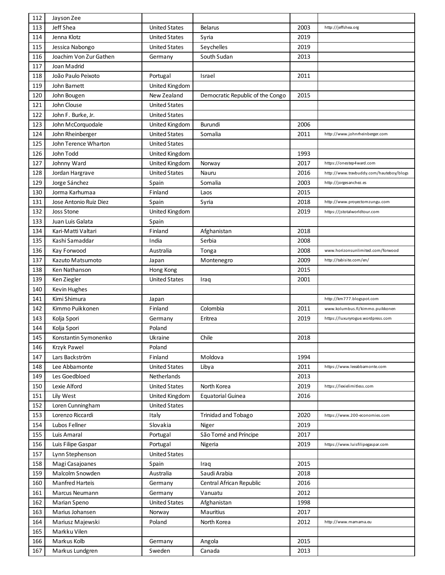| 112 | Jayson Zee             |                      |                                  |      |                                         |
|-----|------------------------|----------------------|----------------------------------|------|-----------------------------------------|
| 113 | Jeff Shea              | <b>United States</b> | <b>Belarus</b>                   | 2003 | http://jeffshea.org                     |
| 114 | Jenna Klotz            | <b>United States</b> | Syria                            | 2019 |                                         |
| 115 | Jessica Nabongo        | <b>United States</b> | Seychelles                       | 2019 |                                         |
| 116 | Joachim Von Zur Gathen | Germany              | South Sudan                      | 2013 |                                         |
| 117 | Joan Madrid            |                      |                                  |      |                                         |
| 118 | João Paulo Peixoto     | Portugal             | Israel                           | 2011 |                                         |
| 119 | John Barnett           | United Kingdom       |                                  |      |                                         |
| 120 | John Bougen            | New Zealand          | Democratic Republic of the Congo | 2015 |                                         |
| 121 | John Clouse            | <b>United States</b> |                                  |      |                                         |
| 122 | John F. Burke, Jr.     | <b>United States</b> |                                  |      |                                         |
| 123 | John McCorquodale      | United Kingdom       | Burundi                          | 2006 |                                         |
| 124 | John Rheinberger       | <b>United States</b> | Somalia                          | 2011 | http://www.johnrheinberger.com          |
| 125 | John Terence Wharton   | <b>United States</b> |                                  |      |                                         |
| 126 | John Todd              | United Kingdom       |                                  | 1993 |                                         |
| 127 | Johnny Ward            | United Kingdom       | Norway                           | 2017 | https://onestep4ward.com                |
| 128 | Jordan Hargrave        | <b>United States</b> | Nauru                            | 2016 | http://www.travbuddy.com/hauteboy/blogs |
| 129 | Jorge Sánchez          | Spain                | Somalia                          | 2003 | http://jorgesanchez.es                  |
| 130 | Jorma Karhumaa         | Finland              | Laos                             | 2015 |                                         |
| 131 | Jose Antonio Ruiz Diez | Spain                | Syria                            | 2018 | http://www.proyectomzungu.com           |
| 132 | <b>Joss Stone</b>      | United Kingdom       |                                  | 2019 | https://jstotalworldtour.com            |
| 133 | Juan Luis Galata       | Spain                |                                  |      |                                         |
| 134 | Kari-Matti Valtari     | Finland              | Afghanistan                      | 2018 |                                         |
| 135 | Kashi Samaddar         | India                | Serbia                           | 2008 |                                         |
| 136 | Kay Forwood            | Australia            | Tonga                            | 2008 | www.horizonsunlimited.com/forwood       |
| 137 | Kazuto Matsumoto       | Japan                | Montenegro                       | 2009 | http://tabisite.com/en/                 |
| 138 | Ken Nathanson          | Hong Kong            |                                  | 2015 |                                         |
| 139 | Ken Ziegler            | <b>United States</b> | Iraq                             | 2001 |                                         |
| 140 | Kevin Hughes           |                      |                                  |      |                                         |
| 141 | Kimi Shimura           | Japan                |                                  |      | http://km777.blogspot.com               |
| 142 | Kimmo Puikkonen        | Finland              | Colombia                         | 2011 | www.kolumbus.fi/kimmo.puikkonen         |
| 143 | Kolja Spori            | Germany              | Eritrea                          | 2019 | https://luxuryrogue.wordpress.com       |
| 144 | Kolja Spori            | Poland               |                                  |      |                                         |
| 145 | Konstantin Symonenko   | Ukraine              | Chile                            | 2018 |                                         |
| 146 | Krzyk Pawel            | Poland               |                                  |      |                                         |
| 147 | Lars Backström         | Finland              | Moldova                          | 1994 |                                         |
| 148 | Lee Abbamonte          | <b>United States</b> | Libya                            | 2011 | https://www.leeabbamonte.com            |
| 149 | Les Goedbloed          | Netherlands          |                                  | 2013 |                                         |
| 150 | Lexie Alford           | <b>United States</b> | North Korea                      | 2019 | https://lexielimitless.com              |
| 151 | Lily West              | United Kingdom       | <b>Equatorial Guinea</b>         | 2016 |                                         |
| 152 | Loren Cunningham       | <b>United States</b> |                                  |      |                                         |
| 153 | Lorenzo Riccardi       | Italy                | <b>Trinidad and Tobago</b>       | 2020 | https://www.200-economies.com           |
| 154 | Lubos Fellner          | Slovakia             | Niger                            | 2019 |                                         |
| 155 | Luis Amaral            | Portugal             | São Tomé and Príncipe            | 2017 |                                         |
| 156 | Luis Filipe Gaspar     | Portugal             | Nigeria                          | 2019 | https://www.luisfilipegaspar.com        |
| 157 | Lynn Stephenson        | <b>United States</b> |                                  |      |                                         |
| 158 | Magi Casajoanes        | Spain                | Iraq                             | 2015 |                                         |
| 159 | Malcolm Snowden        | Australia            | Saudi Arabia                     | 2018 |                                         |
| 160 | <b>Manfred Harteis</b> | Germany              | Central African Republic         | 2016 |                                         |
| 161 | Marcus Neumann         | Germany              | Vanuatu                          | 2012 |                                         |
| 162 | Marian Speno           | <b>United States</b> | Afghanistan                      | 1998 |                                         |
| 163 | Marius Johansen        | Norway               | Mauritius                        | 2017 |                                         |
| 164 | Mariusz Majewski       | Poland               | North Korea                      | 2012 | http://www.mamama.eu                    |
| 165 | Markku Vilen           |                      |                                  |      |                                         |
| 166 | Markus Kolb            | Germany              | Angola                           | 2015 |                                         |
| 167 | Markus Lundgren        | Sweden               | Canada                           | 2013 |                                         |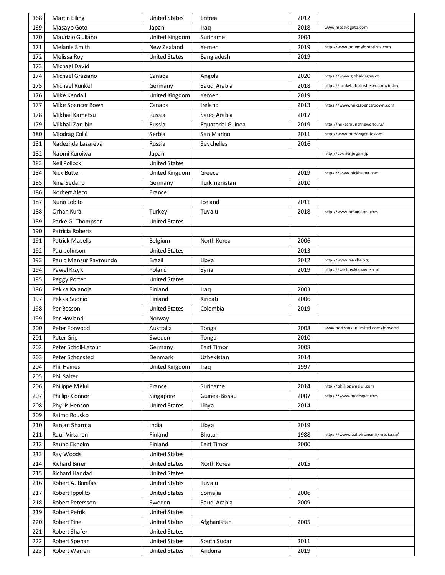| 168 | <b>Martin Elling</b>   | <b>United States</b> | Eritrea                  | 2012 |                                        |
|-----|------------------------|----------------------|--------------------------|------|----------------------------------------|
| 169 | Masayo Goto            | Japan                | Iraq                     | 2018 | www.masayogoto.com                     |
| 170 | Maurizio Giuliano      | United Kingdom       | Suriname                 | 2004 |                                        |
| 171 | Melanie Smith          | New Zealand          | Yemen                    | 2019 | http://www.onlymyfootprints.com        |
| 172 | Melissa Roy            | <b>United States</b> | Bangladesh               | 2019 |                                        |
| 173 | Michael David          |                      |                          |      |                                        |
| 174 | Michael Graziano       | Canada               | Angola                   | 2020 | https://www.globaldegree.co            |
| 175 | Michael Runkel         | Germany              | Saudi Arabia             | 2018 | https://runkel.photoshelter.com/index  |
| 176 | Mike Kendall           | United Kingdom       | Yemen                    | 2019 |                                        |
| 177 | Mike Spencer Bown      | Canada               | Ireland                  | 2013 | https://www.mikespencerbown.com        |
| 178 | Mikhail Kametsu        | Russia               | Saudi Arabia             | 2017 |                                        |
| 179 | Mikhail Zarubin        | Russia               | <b>Equatorial Guinea</b> | 2019 | http://mikearoundtheworld.ru/          |
| 180 | Miodrag Colić          | Serbia               | San Marino               | 2011 | http://www.miodragcolic.com            |
| 181 | Nadezhda Lazareva      | Russia               | Seychelles               | 2016 |                                        |
| 182 | Naomi Kuroiwa          | Japan                |                          |      | http://courier.jugem.jp                |
| 183 | <b>Neil Pollock</b>    | <b>United States</b> |                          |      |                                        |
| 184 | Nick Butter            | United Kingdom       | Greece                   | 2019 | https://www.nickbutter.com             |
| 185 | Nina Sedano            | Germany              | Turkmenistan             | 2010 |                                        |
| 186 | Norbert Aleco          | France               |                          |      |                                        |
| 187 | Nuno Lobito            |                      | Iceland                  | 2011 |                                        |
| 188 | Orhan Kural            | Turkey               | Tuvalu                   | 2018 | http://www.orhankural.com              |
| 189 | Parke G. Thompson      | <b>United States</b> |                          |      |                                        |
| 190 | Patricia Roberts       |                      |                          |      |                                        |
| 191 | <b>Patrick Maselis</b> | Belgium              | North Korea              | 2006 |                                        |
| 192 | Paul Johnson           | <b>United States</b> |                          | 2013 |                                        |
| 193 | Paulo Mansur Raymundo  | Brazil               | Libya                    | 2012 | http://www.reaiche.org                 |
| 194 | Pawel Krzyk            | Poland               | Syria                    | 2019 | https://wedrowkizpawlem.pl             |
| 195 | Peggy Porter           | <b>United States</b> |                          |      |                                        |
| 196 | Pekka Kajanoja         | Finland              | Iraq                     | 2003 |                                        |
| 197 | Pekka Suonio           | Finland              | Kiribati                 | 2006 |                                        |
| 198 | Per Besson             | <b>United States</b> | Colombia                 | 2019 |                                        |
| 199 | Per Hovland            | Norway               |                          |      |                                        |
| 200 | Peter Forwood          | Australia            | Tonga                    | 2008 | www.horizonsunlimited.com/forwood      |
| 201 | Peter Grip             | Sweden               | Tonga                    | 2010 |                                        |
| 202 | Peter Scholl-Latour    | Germany              | East Timor               | 2008 |                                        |
| 203 | Peter Schønsted        | Denmark              | Uzbekistan               | 2014 |                                        |
| 204 | <b>Phil Haines</b>     | United Kingdom       | Iraq                     | 1997 |                                        |
| 205 | Phil Salter            |                      |                          |      |                                        |
| 206 | Philippe Melul         | France               | Suriname                 | 2014 | http://philippemelul.com               |
| 207 | Phillips Connor        | Singapore            | Guinea-Bissau            | 2007 | https://www.madexpat.com               |
| 208 | Phyllis Henson         | <b>United States</b> | Libya                    | 2014 |                                        |
| 209 | Raimo Rousko           |                      |                          |      |                                        |
| 210 | Ranjan Sharma          | India                | Libya                    | 2019 |                                        |
| 211 | Rauli Virtanen         | Finland              | Bhutan                   | 1988 | https://www.raulivirtanen.fi/mediassa/ |
| 212 | Rauno Ekholm           | Finland              | East Timor               | 2000 |                                        |
| 213 | Ray Woods              | <b>United States</b> |                          |      |                                        |
| 214 | <b>Richard Birrer</b>  | <b>United States</b> | North Korea              | 2015 |                                        |
| 215 | Richard Haddad         | <b>United States</b> |                          |      |                                        |
| 216 | Robert A. Bonifas      | <b>United States</b> | Tuvalu                   |      |                                        |
| 217 | Robert Ippolito        | <b>United States</b> | Somalia                  | 2006 |                                        |
| 218 | Robert Petersson       | Sweden               | Saudi Arabia             | 2009 |                                        |
| 219 | <b>Robert Petrik</b>   | <b>United States</b> |                          |      |                                        |
| 220 | Robert Pine            | <b>United States</b> | Afghanistan              | 2005 |                                        |
| 221 | Robert Shafer          | <b>United States</b> |                          |      |                                        |
|     |                        |                      |                          |      |                                        |
| 222 | Robert Spehar          | <b>United States</b> | South Sudan              | 2011 |                                        |